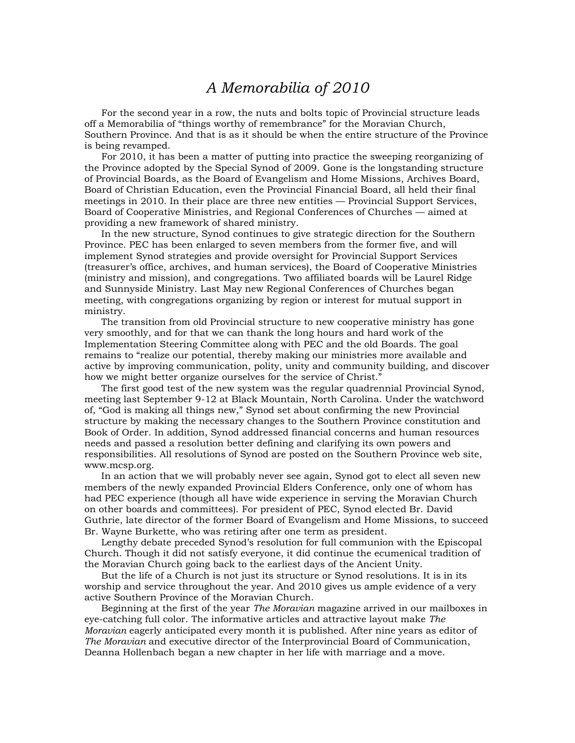## *A Memorabilia of 2010*

For the second year in a row, the nuts and bolts topic of Provincial structure leads off a Memorabilia of "things worthy of remembrance" for the Moravian Church, Southern Province. And that is as it should be when the entire structure of the Province is being revamped.

For 2010, it has been a matter of putting into practice the sweeping reorganizing of the Province adopted by the Special Synod of 2009. Gone is the longstanding structure of Provincial Boards, as the Board of Evangelism and Home Missions, Archives Board, Board of Christian Education, even the Provincial Financial Board, all held their final meetings in 2010. In their place are three new entities — Provincial Support Services, Board of Cooperative Ministries, and Regional Conferences of Churches — aimed at providing a new framework of shared ministry.

In the new structure, Synod continues to give strategic direction for the Southern Province. PEC has been enlarged to seven members from the former five, and will implement Synod strategies and provide oversight for Provincial Support Services (treasurer's office, archives, and human services), the Board of Cooperative Ministries (ministry and mission), and congregations. Two affiliated boards will be Laurel Ridge and Sunnyside Ministry. Last May new Regional Conferences of Churches began meeting, with congregations organizing by region or interest for mutual support in ministry.

The transition from old Provincial structure to new cooperative ministry has gone very smoothly, and for that we can thank the long hours and hard work of the Implementation Steering Committee along with PEC and the old Boards. The goal remains to "realize our potential, thereby making our ministries more available and active by improving communication, polity, unity and community building, and discover how we might better organize ourselves for the service of Christ."

The first good test of the new system was the regular quadrennial Provincial Synod, meeting last September 9-12 at Black Mountain, North Carolina. Under the watchword of, "God is making all things new," Synod set about confirming the new Provincial structure by making the necessary changes to the Southern Province constitution and Book of Order. In addition, Synod addressed financial concerns and human resources needs and passed a resolution better defining and clarifying its own powers and responsibilities. All resolutions of Synod are posted on the Southern Province web site, www.mcsp.org.

In an action that we will probably never see again, Synod got to elect all seven new members of the newly expanded Provincial Elders Conference, only one of whom has had PEC experience (though all have wide experience in serving the Moravian Church on other boards and committees). For president of PEC, Synod elected Br. David Guthrie, late director of the former Board of Evangelism and Home Missions, to succeed Br. Wayne Burkette, who was retiring after one term as president.

Lengthy debate preceded Synod's resolution for full communion with the Episcopal Church. Though it did not satisfy everyone, it did continue the ecumenical tradition of the Moravian Church going back to the earliest days of the Ancient Unity.

But the life of a Church is not just its structure or Synod resolutions. It is in its worship and service throughout the year. And 2010 gives us ample evidence of a very active Southern Province of the Moravian Church.

Beginning at the first of the year *The Moravian* magazine arrived in our mailboxes in eye-catching full color. The informative articles and attractive layout make *The Moravian* eagerly anticipated every month it is published. After nine years as editor of *The Moravian* and executive director of the Interprovincial Board of Communication, Deanna Hollenbach began a new chapter in her life with marriage and a move.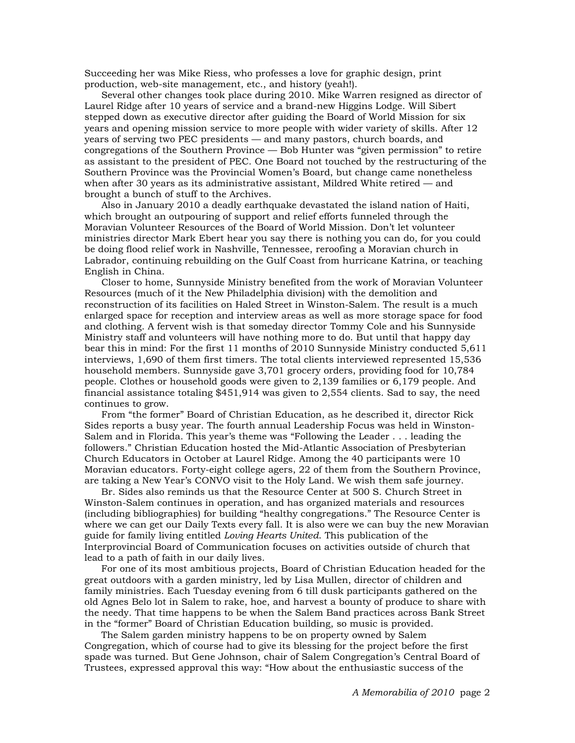Succeeding her was Mike Riess, who professes a love for graphic design, print production, web-site management, etc., and history (yeah!).

Several other changes took place during 2010. Mike Warren resigned as director of Laurel Ridge after 10 years of service and a brand-new Higgins Lodge. Will Sibert stepped down as executive director after guiding the Board of World Mission for six years and opening mission service to more people with wider variety of skills. After 12 years of serving two PEC presidents — and many pastors, church boards, and congregations of the Southern Province — Bob Hunter was "given permission" to retire as assistant to the president of PEC. One Board not touched by the restructuring of the Southern Province was the Provincial Women's Board, but change came nonetheless when after 30 years as its administrative assistant, Mildred White retired — and brought a bunch of stuff to the Archives.

Also in January 2010 a deadly earthquake devastated the island nation of Haiti, which brought an outpouring of support and relief efforts funneled through the Moravian Volunteer Resources of the Board of World Mission. Don't let volunteer ministries director Mark Ebert hear you say there is nothing you can do, for you could be doing flood relief work in Nashville, Tennessee, reroofing a Moravian church in Labrador, continuing rebuilding on the Gulf Coast from hurricane Katrina, or teaching English in China.

Closer to home, Sunnyside Ministry benefited from the work of Moravian Volunteer Resources (much of it the New Philadelphia division) with the demolition and reconstruction of its facilities on Haled Street in Winston-Salem. The result is a much enlarged space for reception and interview areas as well as more storage space for food and clothing. A fervent wish is that someday director Tommy Cole and his Sunnyside Ministry staff and volunteers will have nothing more to do. But until that happy day bear this in mind: For the first 11 months of 2010 Sunnyside Ministry conducted 5,611 interviews, 1,690 of them first timers. The total clients interviewed represented 15,536 household members. Sunnyside gave 3,701 grocery orders, providing food for 10,784 people. Clothes or household goods were given to 2,139 families or 6,179 people. And financial assistance totaling \$451,914 was given to 2,554 clients. Sad to say, the need continues to grow.

From "the former" Board of Christian Education, as he described it, director Rick Sides reports a busy year. The fourth annual Leadership Focus was held in Winston-Salem and in Florida. This year's theme was "Following the Leader . . . leading the followers." Christian Education hosted the Mid-Atlantic Association of Presbyterian Church Educators in October at Laurel Ridge. Among the 40 participants were 10 Moravian educators. Forty-eight college agers, 22 of them from the Southern Province, are taking a New Year's CONVO visit to the Holy Land. We wish them safe journey.

Br. Sides also reminds us that the Resource Center at 500 S. Church Street in Winston-Salem continues in operation, and has organized materials and resources (including bibliographies) for building "healthy congregations." The Resource Center is where we can get our Daily Texts every fall. It is also were we can buy the new Moravian guide for family living entitled *Loving Hearts United*. This publication of the Interprovincial Board of Communication focuses on activities outside of church that lead to a path of faith in our daily lives.

For one of its most ambitious projects, Board of Christian Education headed for the great outdoors with a garden ministry, led by Lisa Mullen, director of children and family ministries. Each Tuesday evening from 6 till dusk participants gathered on the old Agnes Belo lot in Salem to rake, hoe, and harvest a bounty of produce to share with the needy. That time happens to be when the Salem Band practices across Bank Street in the "former" Board of Christian Education building, so music is provided.

The Salem garden ministry happens to be on property owned by Salem Congregation, which of course had to give its blessing for the project before the first spade was turned. But Gene Johnson, chair of Salem Congregation's Central Board of Trustees, expressed approval this way: "How about the enthusiastic success of the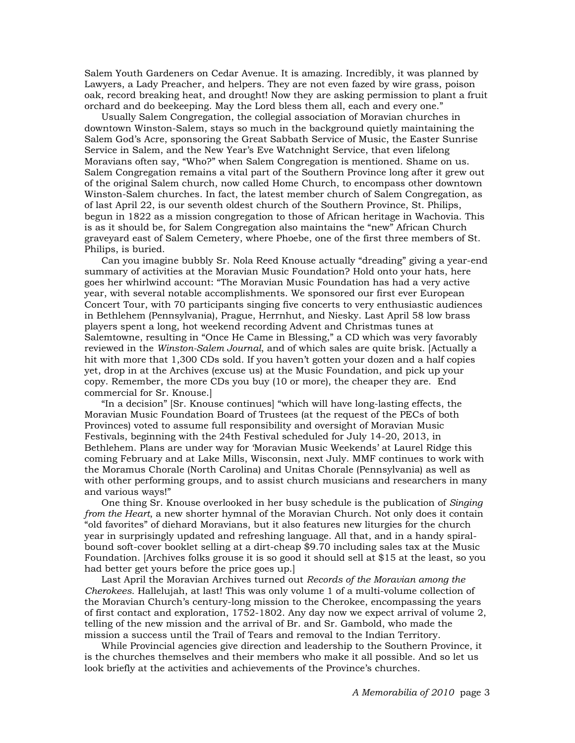Salem Youth Gardeners on Cedar Avenue. It is amazing. Incredibly, it was planned by Lawyers, a Lady Preacher, and helpers. They are not even fazed by wire grass, poison oak, record breaking heat, and drought! Now they are asking permission to plant a fruit orchard and do beekeeping. May the Lord bless them all, each and every one."

Usually Salem Congregation, the collegial association of Moravian churches in downtown Winston-Salem, stays so much in the background quietly maintaining the Salem God's Acre, sponsoring the Great Sabbath Service of Music, the Easter Sunrise Service in Salem, and the New Year's Eve Watchnight Service, that even lifelong Moravians often say, "Who?" when Salem Congregation is mentioned. Shame on us. Salem Congregation remains a vital part of the Southern Province long after it grew out of the original Salem church, now called Home Church, to encompass other downtown Winston-Salem churches. In fact, the latest member church of Salem Congregation, as of last April 22, is our seventh oldest church of the Southern Province, St. Philips, begun in 1822 as a mission congregation to those of African heritage in Wachovia. This is as it should be, for Salem Congregation also maintains the "new" African Church graveyard east of Salem Cemetery, where Phoebe, one of the first three members of St. Philips, is buried.

Can you imagine bubbly Sr. Nola Reed Knouse actually "dreading" giving a year-end summary of activities at the Moravian Music Foundation? Hold onto your hats, here goes her whirlwind account: "The Moravian Music Foundation has had a very active year, with several notable accomplishments. We sponsored our first ever European Concert Tour, with 70 participants singing five concerts to very enthusiastic audiences in Bethlehem (Pennsylvania), Prague, Herrnhut, and Niesky. Last April 58 low brass players spent a long, hot weekend recording Advent and Christmas tunes at Salemtowne, resulting in "Once He Came in Blessing," a CD which was very favorably reviewed in the *Winston-Salem Journal*, and of which sales are quite brisk. [Actually a hit with more that 1,300 CDs sold. If you haven't gotten your dozen and a half copies yet, drop in at the Archives (excuse us) at the Music Foundation, and pick up your copy. Remember, the more CDs you buy (10 or more), the cheaper they are. End commercial for Sr. Knouse.]

"In a decision" [Sr. Knouse continues] "which will have long-lasting effects, the Moravian Music Foundation Board of Trustees (at the request of the PECs of both Provinces) voted to assume full responsibility and oversight of Moravian Music Festivals, beginning with the 24th Festival scheduled for July 14-20, 2013, in Bethlehem. Plans are under way for 'Moravian Music Weekends' at Laurel Ridge this coming February and at Lake Mills, Wisconsin, next July. MMF continues to work with the Moramus Chorale (North Carolina) and Unitas Chorale (Pennsylvania) as well as with other performing groups, and to assist church musicians and researchers in many and various ways!"

One thing Sr. Knouse overlooked in her busy schedule is the publication of *Singing from the Heart*, a new shorter hymnal of the Moravian Church. Not only does it contain "old favorites" of diehard Moravians, but it also features new liturgies for the church year in surprisingly updated and refreshing language. All that, and in a handy spiralbound soft-cover booklet selling at a dirt-cheap \$9.70 including sales tax at the Music Foundation. [Archives folks grouse it is so good it should sell at \$15 at the least, so you had better get yours before the price goes up.]

Last April the Moravian Archives turned out *Records of the Moravian among the Cherokees*. Hallelujah, at last! This was only volume 1 of a multi-volume collection of the Moravian Church's century-long mission to the Cherokee, encompassing the years of first contact and exploration, 1752-1802. Any day now we expect arrival of volume 2, telling of the new mission and the arrival of Br. and Sr. Gambold, who made the mission a success until the Trail of Tears and removal to the Indian Territory.

While Provincial agencies give direction and leadership to the Southern Province, it is the churches themselves and their members who make it all possible. And so let us look briefly at the activities and achievements of the Province's churches.